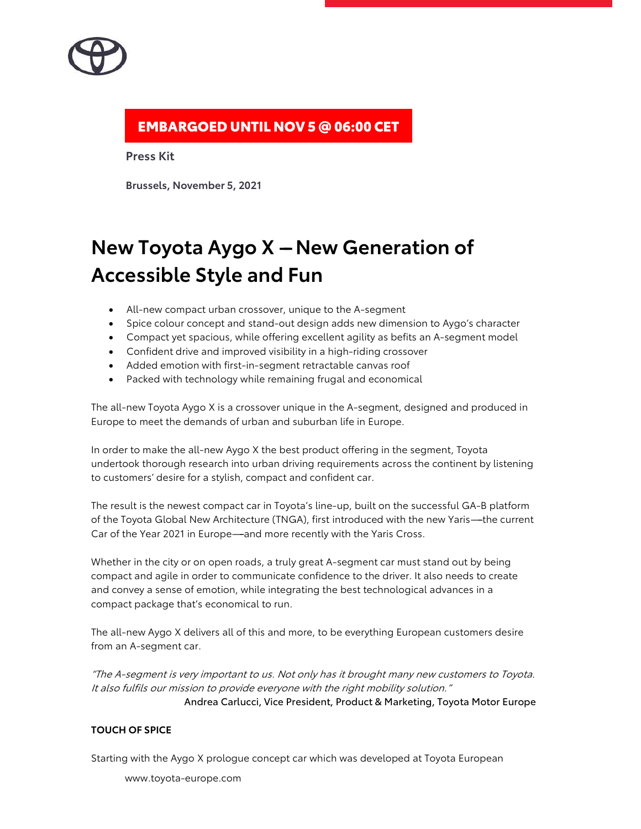# EMBARGOED UNTIL NOV 5 @ 06:00 CET

**Press Kit**

**Brussels, November 5, 2021**

# **New Toyota Aygo X – New Generation of Accessible Style and Fun**

- All-new compact urban crossover, unique to the A-segment
- Spice colour concept and stand-out design adds new dimension to Aygo's character
- Compact yet spacious, while offering excellent agility as befits an A-segment model
- Confident drive and improved visibility in a high-riding crossover
- Added emotion with first-in-segment retractable canvas roof
- Packed with technology while remaining frugal and economical

The all-new Toyota Aygo X is a crossover unique in the A-segment, designed and produced in Europe to meet the demands of urban and suburban life in Europe.

In order to make the all-new Aygo X the best product offering in the segment, Toyota undertook thorough research into urban driving requirements across the continent by listening to customers' desire for a stylish, compact and confident car.

The result is the newest compact car in Toyota's line-up, built on the successful GA-B platform of the Toyota Global New Architecture (TNGA), first introduced with the new Yaris---the current Car of the Year 2021 in Europe—and more recently with the Yaris Cross.

Whether in the city or on open roads, a truly great A-segment car must stand out by being compact and agile in order to communicate confidence to the driver. It also needs to create and convey a sense of emotion, while integrating the best technological advances in a compact package that's economical to run.

The all-new Aygo X delivers all of this and more, to be everything European customers desire from an A-segment car.

''The A-segment is very important to us. Not only has it brought many new customers to Toyota. It also fulfils our mission to provide everyone with the right mobility solution." Andrea Carlucci, Vice President, Product & Marketing, Toyota Motor Europe

### **TOUCH OF SPICE**

Starting with the Aygo X prologue concept car which was developed at Toyota European

www.toyota-europe.com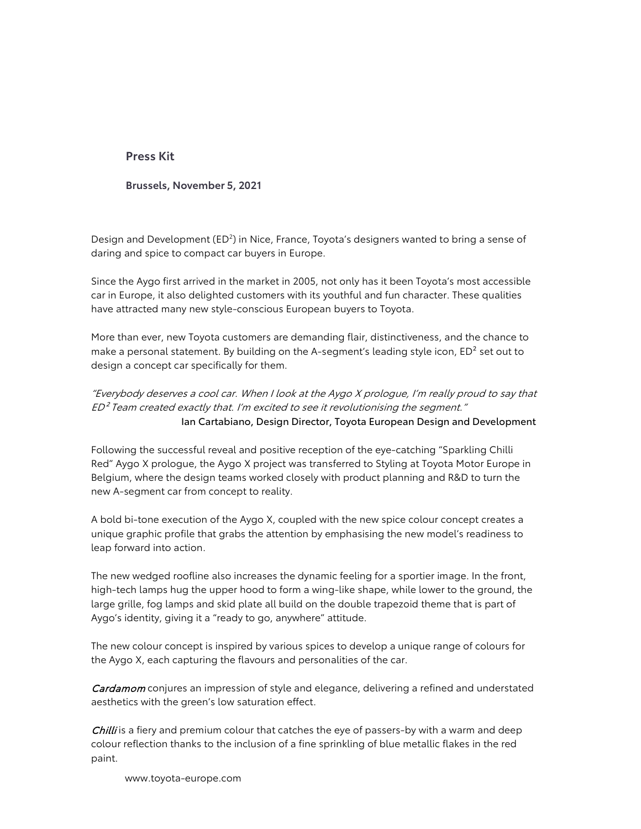**Brussels, November 5, 2021**

Design and Development (ED<sup>2</sup>) in Nice, France, Toyota's designers wanted to bring a sense of daring and spice to compact car buyers in Europe.

Since the Aygo first arrived in the market in 2005, not only has it been Toyota's most accessible car in Europe, it also delighted customers with its youthful and fun character. These qualities have attracted many new style-conscious European buyers to Toyota.

More than ever, new Toyota customers are demanding flair, distinctiveness, and the chance to make a personal statement. By building on the A-segment's leading style icon, ED<sup>2</sup> set out to design a concept car specifically for them.

''Everybody deserves a cool car. When I look at the Aygo X prologue, I'm really proud to say that  $ED<sup>2</sup>$  Team created exactly that. I'm excited to see it revolutionising the segment." Ian Cartabiano, Design Director, Toyota European Design and Development

Following the successful reveal and positive reception of the eye-catching "Sparkling Chilli Red'' Aygo X prologue, the Aygo X project was transferred to Styling at Toyota Motor Europe in Belgium, where the design teams worked closely with product planning and R&D to turn the new A-segment car from concept to reality.

A bold bi-tone execution of the Aygo X, coupled with the new spice colour concept creates a unique graphic profile that grabs the attention by emphasising the new model's readiness to leap forward into action.

The new wedged roofline also increases the dynamic feeling for a sportier image. In the front, high-tech lamps hug the upper hood to form a wing-like shape, while lower to the ground, the large grille, fog lamps and skid plate all build on the double trapezoid theme that is part of Aygo's identity, giving it a "ready to go, anywhere" attitude.

The new colour concept is inspired by various spices to develop a unique range of colours for the Aygo X, each capturing the flavours and personalities of the car.

**Cardamom** conjures an impression of style and elegance, delivering a refined and understated aesthetics with the green's low saturation effect.

Chilli is a fiery and premium colour that catches the eye of passers-by with a warm and deep colour reflection thanks to the inclusion of a fine sprinkling of blue metallic flakes in the red paint.

www.toyota-europe.com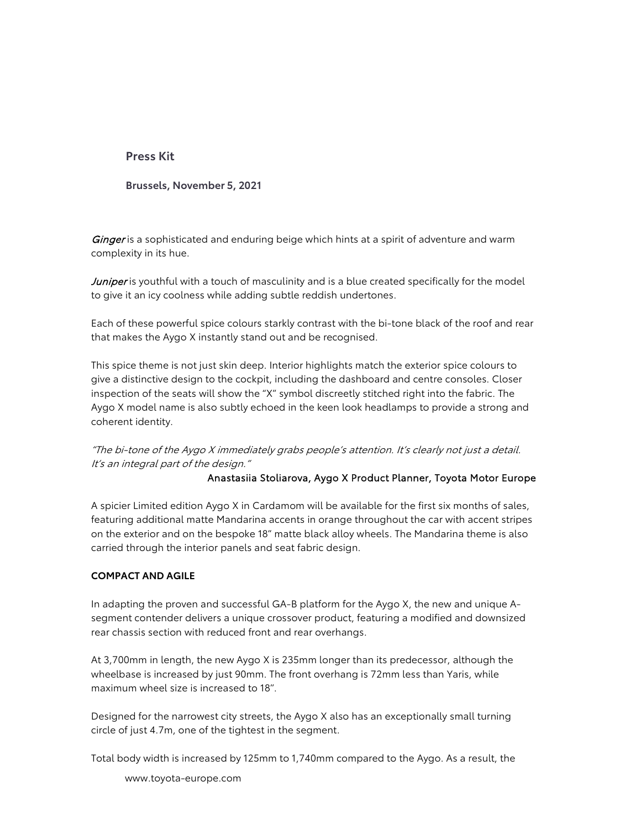**Brussels, November 5, 2021**

Ginger is a sophisticated and enduring beige which hints at a spirit of adventure and warm complexity in its hue.

Juniper is youthful with a touch of masculinity and is a blue created specifically for the model to give it an icy coolness while adding subtle reddish undertones.

Each of these powerful spice colours starkly contrast with the bi-tone black of the roof and rear that makes the Aygo X instantly stand out and be recognised.

This spice theme is not just skin deep. Interior highlights match the exterior spice colours to give a distinctive design to the cockpit, including the dashboard and centre consoles. Closer inspection of the seats will show the ''X'' symbol discreetly stitched right into the fabric. The Aygo X model name is also subtly echoed in the keen look headlamps to provide a strong and coherent identity.

# ''The bi-tone of the Aygo X immediately grabs people's attention. It's clearly not just a detail. It's an integral part of the design.''

### Anastasiia Stoliarova, Aygo X Product Planner, Toyota Motor Europe

A spicier Limited edition Aygo X in Cardamom will be available for the first six months of sales, featuring additional matte Mandarina accents in orange throughout the car with accent stripes on the exterior and on the bespoke 18'' matte black alloy wheels. The Mandarina theme is also carried through the interior panels and seat fabric design.

#### **COMPACT AND AGILE**

In adapting the proven and successful GA-B platform for the Aygo X, the new and unique Asegment contender delivers a unique crossover product, featuring a modified and downsized rear chassis section with reduced front and rear overhangs.

At 3,700mm in length, the new Aygo X is 235mm longer than its predecessor, although the wheelbase is increased by just 90mm. The front overhang is 72mm less than Yaris, while maximum wheel size is increased to 18''.

Designed for the narrowest city streets, the Aygo X also has an exceptionally small turning circle of just 4.7m, one of the tightest in the segment.

Total body width is increased by 125mm to 1,740mm compared to the Aygo. As a result, the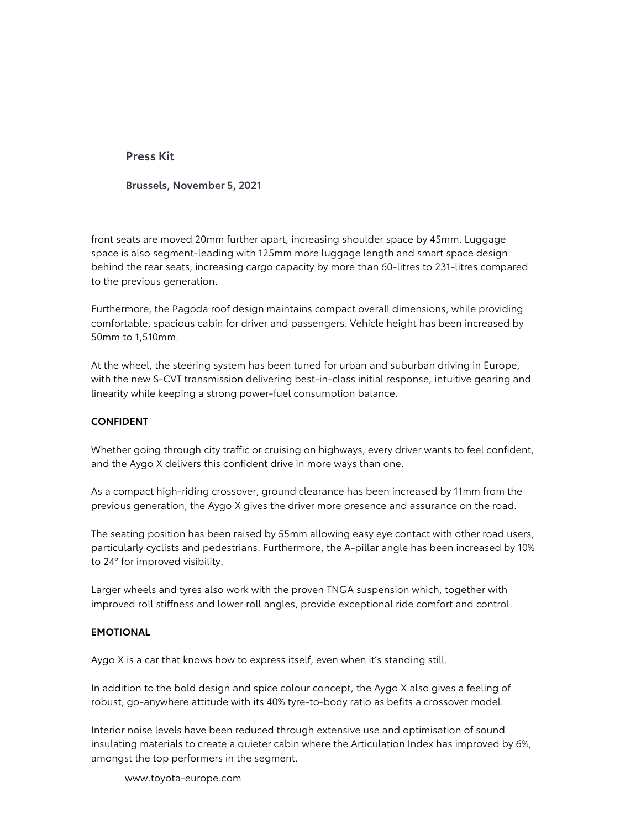**Brussels, November 5, 2021**

front seats are moved 20mm further apart, increasing shoulder space by 45mm. Luggage space is also segment-leading with 125mm more luggage length and smart space design behind the rear seats, increasing cargo capacity by more than 60-litres to 231-litres compared to the previous generation.

Furthermore, the Pagoda roof design maintains compact overall dimensions, while providing comfortable, spacious cabin for driver and passengers. Vehicle height has been increased by 50mm to 1,510mm.

At the wheel, the steering system has been tuned for urban and suburban driving in Europe, with the new S-CVT transmission delivering best-in-class initial response, intuitive gearing and linearity while keeping a strong power-fuel consumption balance.

#### **CONFIDENT**

Whether going through city traffic or cruising on highways, every driver wants to feel confident, and the Aygo X delivers this confident drive in more ways than one.

As a compact high-riding crossover, ground clearance has been increased by 11mm from the previous generation, the Aygo X gives the driver more presence and assurance on the road.

The seating position has been raised by 55mm allowing easy eye contact with other road users, particularly cyclists and pedestrians. Furthermore, the A-pillar angle has been increased by 10% to 24º for improved visibility.

Larger wheels and tyres also work with the proven TNGA suspension which, together with improved roll stiffness and lower roll angles, provide exceptional ride comfort and control.

#### **EMOTIONAL**

Aygo X is a car that knows how to express itself, even when it's standing still.

In addition to the bold design and spice colour concept, the Aygo X also gives a feeling of robust, go-anywhere attitude with its 40% tyre-to-body ratio as befits a crossover model.

Interior noise levels have been reduced through extensive use and optimisation of sound insulating materials to create a quieter cabin where the Articulation Index has improved by 6%, amongst the top performers in the segment.

www.toyota-europe.com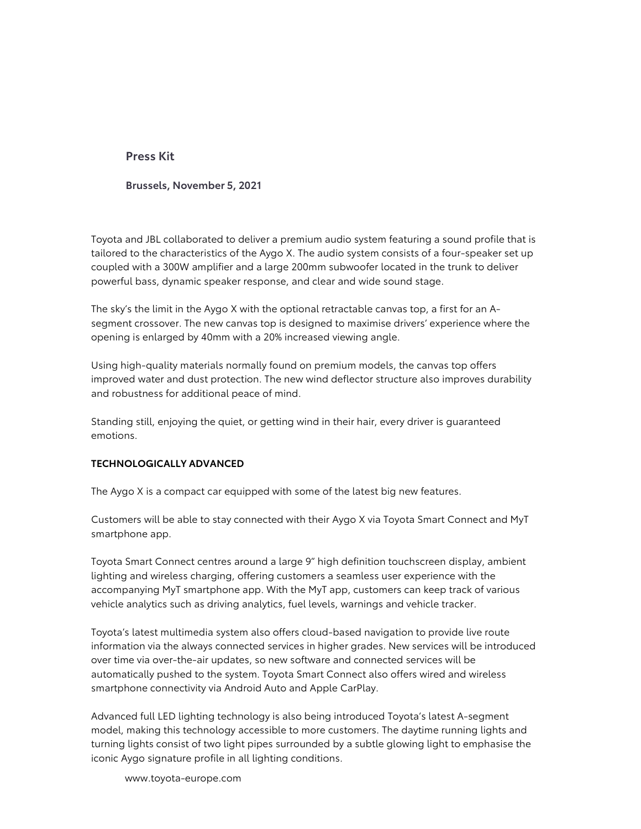**Brussels, November 5, 2021**

Toyota and JBL collaborated to deliver a premium audio system featuring a sound profile that is tailored to the characteristics of the Aygo X. The audio system consists of a four-speaker set up coupled with a 300W amplifier and a large 200mm subwoofer located in the trunk to deliver powerful bass, dynamic speaker response, and clear and wide sound stage.

The sky's the limit in the Aygo X with the optional retractable canvas top, a first for an Asegment crossover. The new canvas top is designed to maximise drivers' experience where the opening is enlarged by 40mm with a 20% increased viewing angle.

Using high-quality materials normally found on premium models, the canvas top offers improved water and dust protection. The new wind deflector structure also improves durability and robustness for additional peace of mind.

Standing still, enjoying the quiet, or getting wind in their hair, every driver is guaranteed emotions.

### **TECHNOLOGICALLY ADVANCED**

The Aygo X is a compact car equipped with some of the latest big new features.

Customers will be able to stay connected with their Aygo X via Toyota Smart Connect and MyT smartphone app.

Toyota Smart Connect centres around a large 9'' high definition touchscreen display, ambient lighting and wireless charging, offering customers a seamless user experience with the accompanying MyT smartphone app. With the MyT app, customers can keep track of various vehicle analytics such as driving analytics, fuel levels, warnings and vehicle tracker.

Toyota's latest multimedia system also offers cloud-based navigation to provide live route information via the always connected services in higher grades. New services will be introduced over time via over-the-air updates, so new software and connected services will be automatically pushed to the system. Toyota Smart Connect also offers wired and wireless smartphone connectivity via Android Auto and Apple CarPlay.

Advanced full LED lighting technology is also being introduced Toyota's latest A-segment model, making this technology accessible to more customers. The daytime running lights and turning lights consist of two light pipes surrounded by a subtle glowing light to emphasise the iconic Aygo signature profile in all lighting conditions.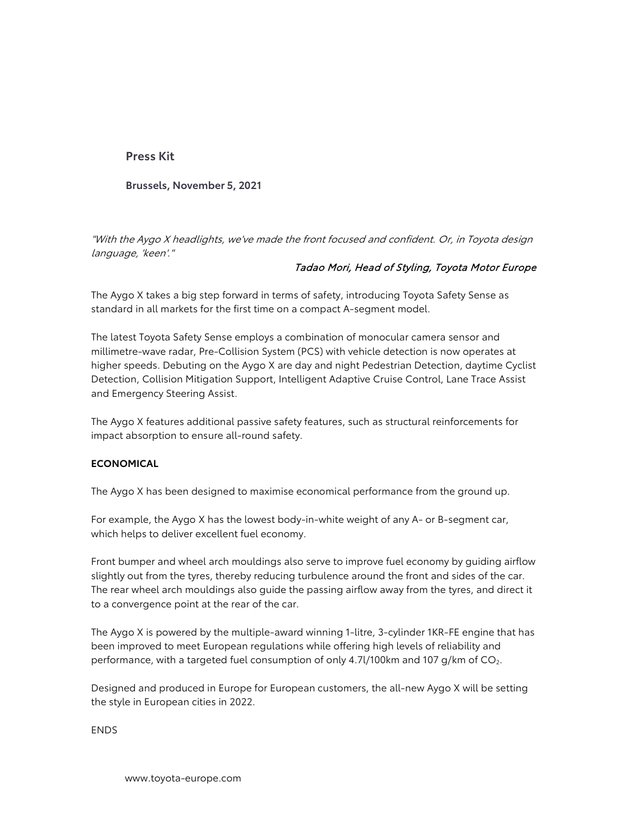**Brussels, November 5, 2021**

"With the Aygo X headlights, we've made the front focused and confident. Or, in Toyota design language, 'keen'."

### Tadao Mori, Head of Styling, Toyota Motor Europe

The Aygo X takes a big step forward in terms of safety, introducing Toyota Safety Sense as standard in all markets for the first time on a compact A-segment model.

The latest Toyota Safety Sense employs a combination of monocular camera sensor and millimetre-wave radar, Pre-Collision System (PCS) with vehicle detection is now operates at higher speeds. Debuting on the Aygo X are day and night Pedestrian Detection, daytime Cyclist Detection, Collision Mitigation Support, Intelligent Adaptive Cruise Control, Lane Trace Assist and Emergency Steering Assist.

The Aygo X features additional passive safety features, such as structural reinforcements for impact absorption to ensure all-round safety.

### **ECONOMICAL**

The Aygo X has been designed to maximise economical performance from the ground up.

For example, the Aygo X has the lowest body-in-white weight of any A- or B-segment car, which helps to deliver excellent fuel economy.

Front bumper and wheel arch mouldings also serve to improve fuel economy by guiding airflow slightly out from the tyres, thereby reducing turbulence around the front and sides of the car. The rear wheel arch mouldings also guide the passing airflow away from the tyres, and direct it to a convergence point at the rear of the car.

The Aygo X is powered by the multiple-award winning 1-litre, 3-cylinder 1KR-FE engine that has been improved to meet European regulations while offering high levels of reliability and performance, with a targeted fuel consumption of only 4.7l/100km and 107 g/km of CO<sub>2</sub>.

Designed and produced in Europe for European customers, the all-new Aygo X will be setting the style in European cities in 2022.

ENDS